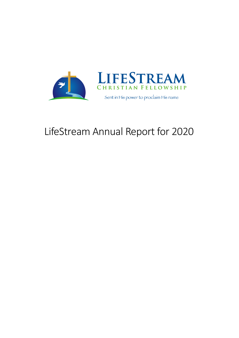



Sent in His power to proclaim His name

## LifeStream Annual Report for 2020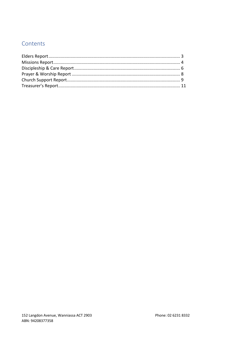## Contents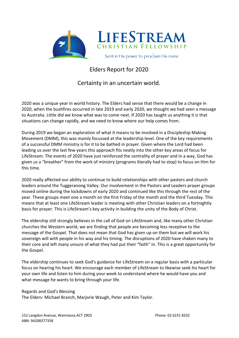

## Elders Report for 2020

### Certainty in an uncertain world.

2020 was a unique year in world history. The Elders had sense that there would be a change in 2020, when the bushfires occurred in late 2019 and early 2020, we thought we had seen a message to Australia. Little did we know what was to come next. If 2020 has taught us anything it is that situations can change rapidly, and we need to know where our help comes from.

During 2019 we began an exploration of what it means to be involved in a Discipleship Making Movement (DMM), this was mainly focussed at the leadership level. One of the key requirements of a successful DMM ministry is for it to be bathed in prayer. Given where the Lord had been leading us over the last few years this approach fits neatly into the other key areas of focus for LifeStream. The events of 2020 have just reinforced the centrality of prayer and in a way, God has given us a "breather" from the work of ministry (programs literally had to stop) to focus on Him for this time.

2020 really affected our ability to continue to build relationships with other pastors and church leaders around the Tuggeranong Valley. Our involvement in the Pastors and Leaders prayer groups moved online during the lockdowns of early 2020 and continued like this through the rest of the year. These groups meet one a month on the first Friday of the month and the third Tuesday. This means that at least one LifeStream leader is meeting with other Christian leaders on a fortnightly basis for prayer. This is LifeStream's key activity in building the unity of the Body of Christ.

The eldership still strongly believes in the call of God on LifeStream and, like many other Christian churches the Western world, we are finding that people are becoming less receptive to the message of the Gospel. That does not mean that God has given up on them but we will work his sovereign will with people in his way and his timing. The disruptions of 2020 have shaken many to their core and left many unsure of what they had put their "faith" in. This is a great opportunity for the Gospel.

The eldership continues to seek God's guidance for LifeStream on a regular basis with a particular focus on hearing his heart. We encourage each member of LifeStream to likewise seek his heart for your own life and listen to him during your week to understand where he would have you and what message he wants to bring through your life.

#### Regards and God's Blessing

The Elders: Michael Branch, Marjorie Waugh, Peter and Kim Taylor.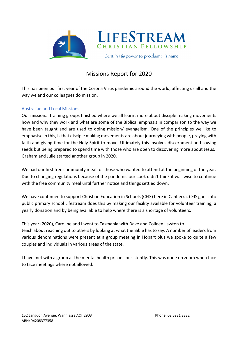

## Missions Report for 2020

This has been our first year of the Corona Virus pandemic around the world, affecting us all and the way we and our colleagues do mission.

#### Australian and Local Missions

Our missional training groups finished where we all learnt more about disciple making movements how and why they work and what are some of the Biblical emphasis in comparison to the way we have been taught and are used to doing mission/ evangelism. One of the principles we like to emphasise in this, is that disciple making movements are about journeying with people, praying with faith and giving time for the Holy Spirit to move. Ultimately this involves discernment and sowing seeds but being prepared to spend time with those who are open to discovering more about Jesus. Graham and Julie started another group in 2020.

We had our first free community meal for those who wanted to attend at the beginning of the year. Due to changing regulations because of the pandemic our cook didn't think it was wise to continue with the free community meal until further notice and things settled down.

We have continued to support Christian Education in Schools (CEIS) here in Canberra. CEIS goes into public primary school Lifestream does this by making our facility available for volunteer training, a yearly donation and by being available to help where there is a shortage of volunteers.

This year (2020), Caroline and I went to Tasmania with Dave and Colleen Lawton to teach about reaching out to others by looking at what the Bible has to say. A number of leaders from various denominations were present at a group meeting in Hobart plus we spoke to quite a few couples and individuals in various areas of the state.

I have met with a group at the mental health prison consistently. This was done on zoom when face to face meetings where not allowed.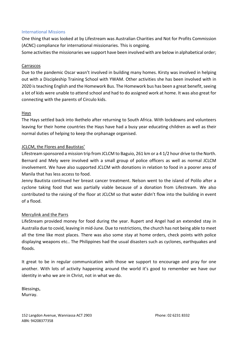#### International Missions

One thing that was looked at by Lifestream was Australian Charities and Not for Profits Commission (ACNC) compliance for international missionaries. This is ongoing.

Some activities the missionaries we support have been involved with are below in alphabetical order;

#### Carrascos

Due to the pandemic Oscar wasn't involved in building many homes. Kirsty was involved in helping out with a Discipleship Training School with YWAM. Other activities she has been involved with in 2020 is teaching English and the Homework Bus. The Homework bus has been a great benefit, seeing a lot of kids were unable to attend school and had to do assigned work at home. It was also great for connecting with the parents of Circulo kids.

#### Hays

The Hays settled back into Ikethelo after returning to South Africa. With lockdowns and volunteers leaving for their home countries the Hays have had a busy year educating children as well as their normal duties of helping to keep the orphanage organised.

#### JCLCM, the Flores and Bautistas'

Lifestream sponsored a mission trip from JCLCM to Baguio, 261 km or a 4 1/2 hour drive to the North. Bernard and Mely were involved with a small group of police officers as well as normal JCLCM involvement. We have also supported JCLCM with donations in relation to food in a poorer area of Manila that has less access to food.

Jenny Bautista continued her breast cancer treatment. Nelson went to the island of Polilo after a cyclone taking food that was partially viable because of a donation from Lifestream. We also contributed to the raising of the floor at JCLCM so that water didn't flow into the building in event of a flood.

#### Mercylink and the Parrs

LifeStream provided money for food during the year. Rupert and Angel had an extended stay in Australia due to covid, leaving in mid-June. Due to restrictions, the church has not being able to meet all the time like most places. There was also some stay at home orders, check points with police displaying weapons etc.. The Philippines had the usual disasters such as cyclones, earthquakes and floods.

It great to be in regular communication with those we support to encourage and pray for one another. With lots of activity happening around the world it's good to remember we have our identity in who we are in Christ, not in what we do.

Blessings, Murray.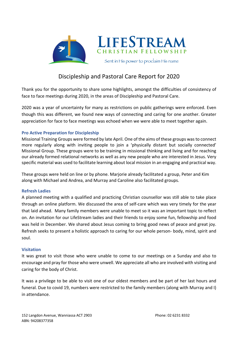

## Discipleship and Pastoral Care Report for 2020

Thank you for the opportunity to share some highlights, amongst the difficulties of consistency of face to face meetings during 2020, in the areas of Discipleship and Pastoral Care.

2020 was a year of uncertainty for many as restrictions on public gatherings were enforced. Even though this was different, we found new ways of connecting and caring for one another. Greater appreciation for face to face meetings was echoed when we were able to meet together again.

#### **Pro Active Preparation for Discipleship**

Missional Training Groups were formed by late April. One of the aims of these groups was to connect more regularly along with inviting people to join a 'physically distant but socially connected' Missional Group. These groups were to be training in missional thinking and living and for reaching our already formed relational networks as well as any new people who are interested in Jesus. Very specific material was used to facilitate learning about local mission in an engaging and practical way.

These groups were held on line or by phone. Marjorie already facilitated a group, Peter and Kim along with Michael and Andrea, and Murray and Caroline also facilitated groups.

#### **Refresh Ladies**

A planned meeting with a qualified and practicing Christian counsellor was still able to take place through an online platform. We discussed the area of self-care which was very timely for the year that laid ahead. Many family members were unable to meet so it was an important topic to reflect on. An invitation for our LifeStream ladies and their friends to enjoy some fun, fellowship and food was held in December. We shared about Jesus coming to bring good news of peace and great joy. Refresh seeks to present a holistic approach to caring for our whole person- body, mind, spirit and soul.

#### **Visitation**

It was great to visit those who were unable to come to our meetings on a Sunday and also to encourage and pray for those who were unwell. We appreciate all who are involved with visiting and caring for the body of Christ.

It was a privilege to be able to visit one of our oldest members and be part of her last hours and funeral. Due to covid 19, numbers were restricted to the family members (along with Murray and I) in attendance.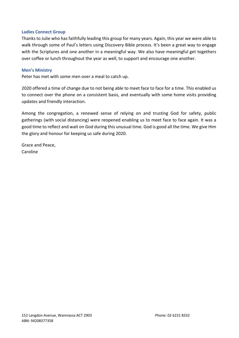#### **Ladies Connect Group**

Thanks to Julie who has faithfully leading this group for many years. Again, this year we were able to walk through some of Paul's letters using Discovery Bible process. It's been a great way to engage with the Scriptures and one another in a meaningful way. We also have meaningful get togethers over coffee or lunch throughout the year as well, to support and encourage one another.

#### **Men's Ministry**

Peter has met with some men over a meal to catch up.

2020 offered a time of change due to not being able to meet face to face for a time. This enabled us to connect over the phone on a consistent basis, and eventually with some home visits providing updates and friendly interaction.

Among the congregation, a renewed sense of relying on and trusting God for safety, public gatherings (with social distancing) were reopened enabling us to meet face to face again. It was a good time to reflect and wait on God during this unusual time. God is good all the time. We give Him the glory and honour for keeping us safe during 2020.

Grace and Peace, Caroline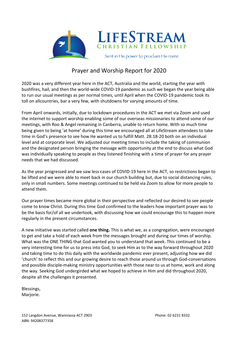

## Prayer and Worship Report for 2020

2020 was a very different year here in the ACT, Australia and the world, starting the year with bushfires, hail, and then the world-wide COVID-19 pandemic as such we began the year being able to run our usual meetings as per normal times, until April when the COVID-19 pandemic took its toll on allcountries, bar a very few, with shutdowns for varying amounts of time.

From April onwards, initially, due to lockdown procedures in the ACT we met via Zoom and used the internet to support worship enabling some of our overseas missionaries to attend some of our meetings, with Roo & Angel remaining in Canberra, unable to return home. With so much time being given to being 'at home' during this time we encouraged all at LifeStream attendees to take time in God's presence to see how He wanted us to fulfill Matt. 28:18-20 both on an individual level and at corporate level. We adjusted our meeting times to include the taking of communion and the designated person bringing the message with opportunity at the end to discuss what God was individually speaking to people as they listened finishing with a time of prayer for any prayer needs that we had discussed.

As the year progressed and we saw less cases of COVID-19 here in the ACT, so restrictions began to be lifted and we were able to meet back in our church building but, due to social distancing rules, only in small numbers. Some meetings continued to be held via Zoom to allow for more people to attend them.

Our prayer times became more global in their perspective and reflected our desired to see people come to know Christ. During this time God confirmed to the leaders how important prayer was to be the basis for/of all we undertook, with discussing how we could encourage this to happen more regularly in the present circumstances.

A new initiative was started called **one thing.** This is what we, as a congregation, were encouraged to get and take a hold of each week from the messages brought and during our times of worship. What was the ONE THING that God wanted you to understand that week. This continued to be a very interesting time for us to press into God, to seek Him as to the way forward throughout 2020 and taking time to do this daily with the worldwide pandemic ever present, adjusting how we did 'church' to reflect this and our growing desire to reach those around us through God-conversations and possible disciple-making ministry opportunities with those near to us at home, work and along the way. Seeking God undergirded what we hoped to achieve in Him and did throughout 2020, despite all the challenges it presented.

Blessings, Marjorie.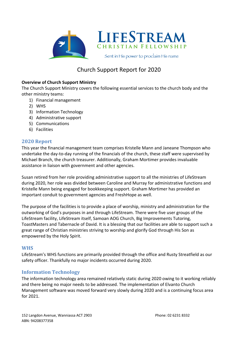

## Church Support Report for 2020

#### **Overview of Church Support Ministry**

The Church Support Ministry covers the following essential services to the church body and the other ministry teams:

- 1) Financial management
- 2) WHS
- 3) Information Technology
- 4) Administrative support
- 5) Communications
- 6) Facilities

#### **2020 Report**

This year the financial management team comprises Kristelle Mann and Janeane Thompson who undertake the day-to-day running of the financials of the church, these staff were supervised by Michael Branch, the church treasurer. Additionally, Graham Mortimer provides invaluable assistance in liaison with government and other agencies.

Susan retired from her role providing administrative support to all the ministries of LifeStream during 2020, her role was divided between Caroline and Murray for administrative functions and Kristelle Mann being engaged for bookkeeping support. Graham Mortimer has provided an important conduit to government agencies and FreshHope as well.

The purpose of the facilities is to provide a place of worship, ministry and administration for the outworking of God's purposes in and through LifeStream. There were five user groups of the LifeStream facility, LifeStream itself, Samoan AOG Church, Big Improvements Tutoring, ToastMasters and Tabernacle of David. It is a blessing that our facilities are able to support such a great range of Christian ministries striving to worship and glorify God through His Son as empowered by the Holy Spirit.

#### **WHS**

LifeStream's WHS functions are primarily provided through the office and Rusty Streatfield as our safety officer. Thankfully no major incidents occurred during 2020.

#### **Information Technology**

The information technology area remained relatively static during 2020 owing to it working reliably and there being no major needs to be addressed. The implementation of Elvanto Church Management software was moved forward very slowly during 2020 and is a continuing focus area for 2021.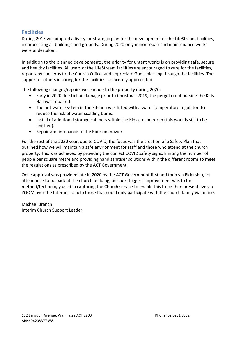#### **Facilities**

During 2015 we adopted a five-year strategic plan for the development of the LifeStream facilities, incorporating all buildings and grounds. During 2020 only minor repair and maintenance works were undertaken.

In addition to the planned developments, the priority for urgent works is on providing safe, secure and healthy facilities. All users of the LifeStream facilities are encouraged to care for the facilities, report any concerns to the Church Office, and appreciate God's blessing through the facilities. The support of others in caring for the facilities is sincerely appreciated.

The following changes/repairs were made to the property during 2020:

- Early in 2020 due to hail damage prior to Christmas 2019, the pergola roof outside the Kids Hall was repaired.
- The hot-water system in the kitchen was fitted with a water temperature regulator, to reduce the risk of water scalding burns.
- Install of additional storage cabinets within the Kids creche room (this work is still to be finished).
- Repairs/maintenance to the Ride-on mower.

For the rest of the 2020 year, due to COVID, the focus was the creation of a Safety Plan that outlined how we will maintain a safe environment for staff and those who attend at the church property. This was achieved by providing the correct COVID safety signs, limiting the number of people per square metre and providing hand sanitiser solutions within the different rooms to meet the regulations as prescribed by the ACT Government.

Once approval was provided late in 2020 by the ACT Government first and then via Eldership, for attendance to be back at the church building, our next biggest improvement was to the method/technology used in capturing the Church service to enable this to be then present live via ZOOM over the Internet to help those that could only participate with the church family via online.

Michael Branch Interim Church Support Leader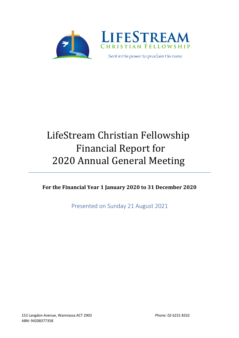



Sent in His power to proclaim His name

# LifeStream Christian Fellowship Financial Report for 2020 Annual General Meeting

For the Financial Year 1 January 2020 to 31 December 2020

Presented on Sunday 21 August 2021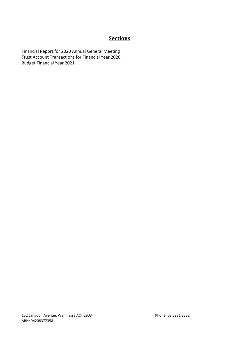### **Sections**

Financial Report for 2020 Annual General Meeting Trust Account Transactions for Financial Year 2020 Budget Financial Year 2021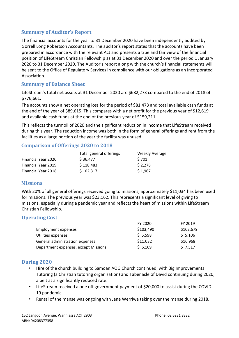#### **Summary of Auditor's Report**

The financial accounts for the year to 31 December 2020 have been independently audited by Gorrell Long Robertson Accountants. The auditor's report states that the accounts have been prepared in accordance with the relevant Act and presents a true and fair view of the financial position of LifeStream Christian Fellowship as at 31 December 2020 and over the period 1 January 2020 to 31 December 2020. The Auditor's report along with the church's financial statements will be sent to the Office of Regulatory Services in compliance with our obligations as an Incorporated Association.

#### **Summary of Balance Sheet**

LifeStream's total net assets at 31 December 2020 are \$682,273 compared to the end of 2018 of \$776,661.

The accounts show a net operating loss for the period of \$81,473 and total available cash funds at the end of the year of \$89,615. This compares with a net profit for the previous year of \$12,619 and available cash funds at the end of the previous year of \$159,211.

This reflects the turmoil of 2020 and the significant reduction in income that LifeStream received during this year. The reduction income was both in the form of general offerings and rent from the facilities as a large portion of the year the facility was unused.

#### **Comparison of Offerings 2020 to 2018**

|                     | Total general offerings | <b>Weekly Average</b> |  |
|---------------------|-------------------------|-----------------------|--|
| Financial Year 2020 | \$36,477                | \$701                 |  |
| Financial Year 2019 | \$118,483               | \$2,278               |  |
| Financial Year 2018 | \$102,317               | \$1,967               |  |

#### **Missions**

With 20% of all general offerings received going to missions, approximately \$11,034 has been used for missions. The previous year was \$23,162. This represents a significant level of giving to missions, especially during a pandemic year and reflects the heart of missions within LifeStream Christian Fellowship.

#### **Operating Cost**

|                                      | FY 2020   | FY 2019   |
|--------------------------------------|-----------|-----------|
| Employment expenses                  | \$103,490 | \$102,679 |
| Utilities expenses                   | \$5,598   | \$5,106   |
| General administration expenses      | \$11,032  | \$16,968  |
| Department expenses, except Missions | \$6,109   | \$7,517   |

#### **During 2020**

- Hire of the church building to Samoan AOG Church continued, with Big Improvements Tutoring (a Christian tutoring organisation) and Tabenacle of David continuing during 2020, albeit at a significantly reduced rate.
- LifeStream received a one off government payment of \$20,000 to assist during the COVID-19 pandemic.
- Rental of the manse was ongoing with Jane Werriwa taking over the manse during 2018.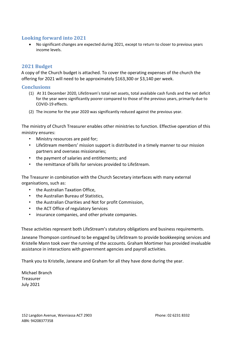#### Looking forward into 2021

• No significant changes are expected during 2021, except to return to closer to previous years income levels.

#### **2021 Budget**

A copy of the Church budget is attached. To cover the operating expenses of the church the offering for 2021 will need to be approximately \$163,300 or \$3,140 per week.

#### **Conclusions**

- (1) At 31 December 2020, LifeStream's total net assets, total available cash funds and the net deficit for the year were significantly poorer compared to those of the previous years, primarily due to COVID-19 effects.
- (2) The income for the year 2020 was significantly reduced against the previous year.

The ministry of Church Treasurer enables other ministries to function. Effective operation of this ministry ensures:

- Ministry resources are paid for;
- LifeStream members' mission support is distributed in a timely manner to our mission partners and overseas missionaries;
- the payment of salaries and entitlements; and
- the remittance of bills for services provided to LifeStream.

The Treasurer in combination with the Church Secretary interfaces with many external organisations, such as:

- the Australian Taxation Office,
- the Australian Bureau of Statistics,
- the Australian Charities and Not for profit Commission,
- the ACT Office of regulatory Services
- insurance companies, and other private companies.

These activities represent both LifeStream's statutory obligations and business requirements.

Janeane Thompson continued to be engaged by LifeStream to provide bookkeeping services and Kristelle Mann took over the running of the accounts. Graham Mortimer has provided invaluable assistance in interactions with government agencies and payroll activities.

Thank you to Kristelle, Janeane and Graham for all they have done during the year.

Michael Branch Treasurer July 2021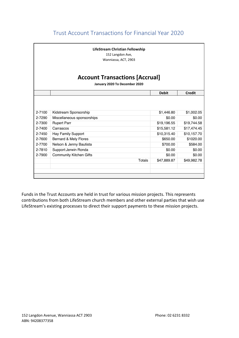## Trust Account Transactions for Financial Year 2020

| LifeStream Christian Fellowship<br>152 Langdon Ave,<br>Wanniassa, ACT, 2903 |                      |                                     |  |  |  |  |
|-----------------------------------------------------------------------------|----------------------|-------------------------------------|--|--|--|--|
| <b>Account Transactions [Accrual]</b><br>January 2020 To December 2020      |                      |                                     |  |  |  |  |
|                                                                             | <b>Debit</b>         | <b>Credit</b>                       |  |  |  |  |
| Kidstream Sponsorship<br>Miscellaneous sponsorships                         | \$1,446.80<br>\$0.00 | \$1,002.05<br>\$0.00<br>\$19,744.58 |  |  |  |  |
| Carrascos                                                                   | \$15,581.12          | \$17,474.45                         |  |  |  |  |
| Hay Family Support                                                          | \$10,315.40          | \$10,157.70                         |  |  |  |  |
| Bernard & Mely Flores                                                       | \$650.00             | \$1020.00                           |  |  |  |  |
| Nelson & Jenny Bautista                                                     | \$700.00             | \$584.00                            |  |  |  |  |
| Support: Jerwin Ronda                                                       | \$0.00               | \$0.00                              |  |  |  |  |
| <b>Community Kitchen Gifts</b>                                              | \$0.00               | \$0.00                              |  |  |  |  |
| Totals                                                                      | \$47,889.87          | \$49,982.78                         |  |  |  |  |
|                                                                             | <b>Rupert Parr</b>   | \$19,196.55                         |  |  |  |  |

Funds in the Trust Accounts are held in trust for various mission projects. This represents contributions from both LifeStream church members and other external parties that wish use LifeStream's existing processes to direct their support payments to these mission projects.